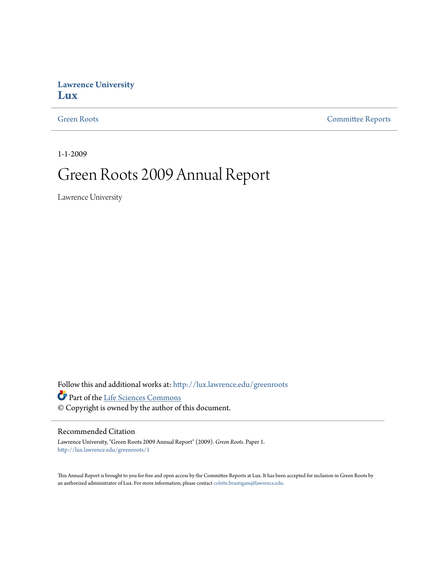## **Lawrence University [Lux](http://lux.lawrence.edu?utm_source=lux.lawrence.edu%2Fgreenroots%2F1&utm_medium=PDF&utm_campaign=PDFCoverPages)**

[Green Roots](http://lux.lawrence.edu/greenroots?utm_source=lux.lawrence.edu%2Fgreenroots%2F1&utm_medium=PDF&utm_campaign=PDFCoverPages) [Committee Reports](http://lux.lawrence.edu/committee_reports?utm_source=lux.lawrence.edu%2Fgreenroots%2F1&utm_medium=PDF&utm_campaign=PDFCoverPages)

1-1-2009

# Green Roots 2009 Annual Report

Lawrence University

Follow this and additional works at: [http://lux.lawrence.edu/greenroots](http://lux.lawrence.edu/greenroots?utm_source=lux.lawrence.edu%2Fgreenroots%2F1&utm_medium=PDF&utm_campaign=PDFCoverPages)

Part of the [Life Sciences Commons](http://network.bepress.com/hgg/discipline/1016?utm_source=lux.lawrence.edu%2Fgreenroots%2F1&utm_medium=PDF&utm_campaign=PDFCoverPages)

© Copyright is owned by the author of this document.

#### Recommended Citation

Lawrence University, "Green Roots 2009 Annual Report" (2009). *Green Roots.* Paper 1. [http://lux.lawrence.edu/greenroots/1](http://lux.lawrence.edu/greenroots/1?utm_source=lux.lawrence.edu%2Fgreenroots%2F1&utm_medium=PDF&utm_campaign=PDFCoverPages)

This Annual Report is brought to you for free and open access by the Committee Reports at Lux. It has been accepted for inclusion in Green Roots by an authorized administrator of Lux. For more information, please contact [colette.brautigam@lawrence.edu.](mailto:colette.brautigam@lawrence.edu)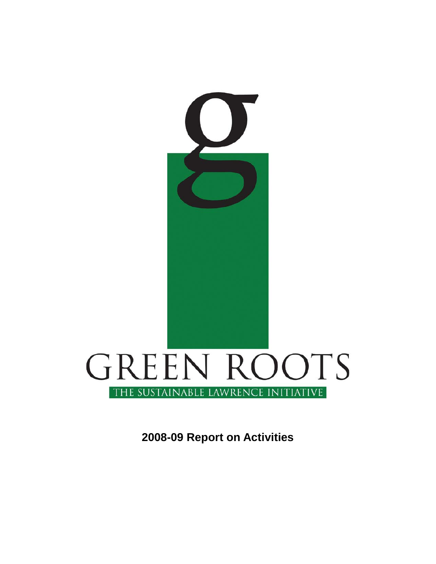

**2008-09 Report on Activities**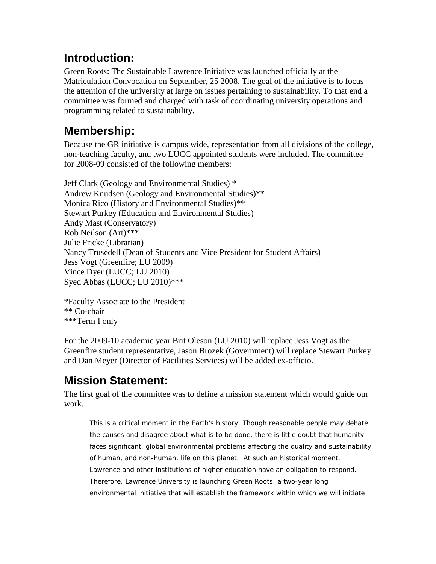# **Introduction:**

Green Roots: The Sustainable Lawrence Initiative was launched officially at the Matriculation Convocation on September, 25 2008. The goal of the initiative is to focus the attention of the university at large on issues pertaining to sustainability. To that end a committee was formed and charged with task of coordinating university operations and programming related to sustainability.

# **Membership:**

Because the GR initiative is campus wide, representation from all divisions of the college, non-teaching faculty, and two LUCC appointed students were included. The committee for 2008-09 consisted of the following members:

Jeff Clark (Geology and Environmental Studies) \* Andrew Knudsen (Geology and Environmental Studies)\*\* Monica Rico (History and Environmental Studies)\*\* Stewart Purkey (Education and Environmental Studies) Andy Mast (Conservatory) Rob Neilson (Art)\*\*\* Julie Fricke (Librarian) Nancy Trusedell (Dean of Students and Vice President for Student Affairs) Jess Vogt (Greenfire; LU 2009) Vince Dyer (LUCC; LU 2010) Syed Abbas (LUCC; LU 2010)\*\*\*

\*Faculty Associate to the President \*\* Co-chair \*\*\*Term I only

For the 2009-10 academic year Brit Oleson (LU 2010) will replace Jess Vogt as the Greenfire student representative, Jason Brozek (Government) will replace Stewart Purkey and Dan Meyer (Director of Facilities Services) will be added ex-officio.

# **Mission Statement:**

The first goal of the committee was to define a mission statement which would guide our work.

This is a critical moment in the Earth's history. Though reasonable people may debate the causes and disagree about what is to be done, there is little doubt that humanity faces significant, global environmental problems affecting the quality and sustainability of human, and non-human, life on this planet. At such an historical moment, Lawrence and other institutions of higher education have an obligation to respond. Therefore, Lawrence University is launching Green Roots, a two-year long environmental initiative that will establish the framework within which we will initiate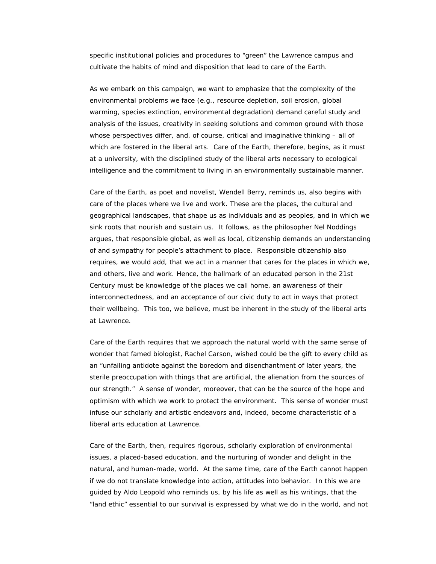specific institutional policies and procedures to "green" the Lawrence campus and cultivate the habits of mind and disposition that lead to care of the Earth.

As we embark on this campaign, we want to emphasize that the complexity of the environmental problems we face (e.g., resource depletion, soil erosion, global warming, species extinction, environmental degradation) demand careful study and analysis of the issues, creativity in seeking solutions and common ground with those whose perspectives differ, and, of course, critical and imaginative thinking – all of which are fostered in the liberal arts. Care of the Earth, therefore, begins, as it must at a university, with the disciplined study of the liberal arts necessary to ecological intelligence and the commitment to living in an environmentally sustainable manner.

Care of the Earth, as poet and novelist, Wendell Berry, reminds us, also begins with care of the places where we live and work. These are the places, the cultural and geographical landscapes, that shape us as individuals and as peoples, and in which we sink roots that nourish and sustain us. It follows, as the philosopher Nel Noddings argues, that responsible global, as well as local, citizenship demands an understanding of and sympathy for people's attachment to place. Responsible citizenship also requires, we would add, that we act in a manner that cares for the places in which we, and others, live and work. Hence, the hallmark of an educated person in the 21st Century must be knowledge of the places we call home, an awareness of their interconnectedness, and an acceptance of our civic duty to act in ways that protect their wellbeing. This too, we believe, must be inherent in the study of the liberal arts at Lawrence.

Care of the Earth requires that we approach the natural world with the same sense of wonder that famed biologist, Rachel Carson, wished could be the gift to every child as an "unfailing antidote against the boredom and disenchantment of later years, the sterile preoccupation with things that are artificial, the alienation from the sources of our strength." A sense of wonder, moreover, that can be the source of the hope and optimism with which we work to protect the environment. This sense of wonder must infuse our scholarly and artistic endeavors and, indeed, become characteristic of a liberal arts education at Lawrence.

Care of the Earth, then, requires rigorous, scholarly exploration of environmental issues, a placed-based education, and the nurturing of wonder and delight in the natural, and human-made, world. At the same time, care of the Earth cannot happen if we do not translate knowledge into action, attitudes into behavior. In this we are guided by Aldo Leopold who reminds us, by his life as well as his writings, that the "land ethic" essential to our survival is expressed by what we do in the world, and not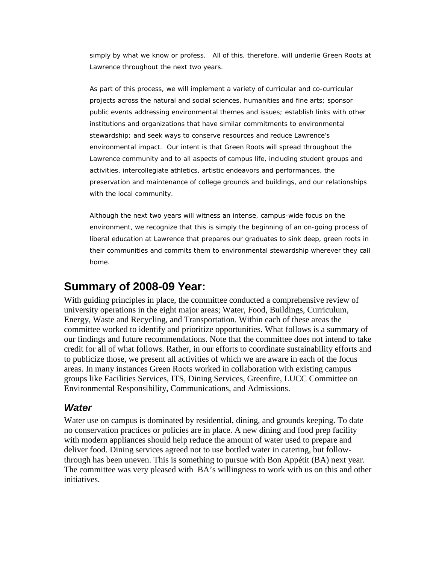simply by what we know or profess. All of this, therefore, will underlie Green Roots at Lawrence throughout the next two years.

As part of this process, we will implement a variety of curricular and co-curricular projects across the natural and social sciences, humanities and fine arts; sponsor public events addressing environmental themes and issues; establish links with other institutions and organizations that have similar commitments to environmental stewardship; and seek ways to conserve resources and reduce Lawrence's environmental impact. Our intent is that Green Roots will spread throughout the Lawrence community and to all aspects of campus life, including student groups and activities, intercollegiate athletics, artistic endeavors and performances, the preservation and maintenance of college grounds and buildings, and our relationships with the local community.

Although the next two years will witness an intense, campus-wide focus on the environment, we recognize that this is simply the beginning of an on-going process of liberal education at Lawrence that prepares our graduates to sink deep, green roots in their communities and commits them to environmental stewardship wherever they call home.

# **Summary of 2008-09 Year:**

With guiding principles in place, the committee conducted a comprehensive review of university operations in the eight major areas; Water, Food, Buildings, Curriculum, Energy, Waste and Recycling, and Transportation. Within each of these areas the committee worked to identify and prioritize opportunities. What follows is a summary of our findings and future recommendations. Note that the committee does not intend to take credit for all of what follows. Rather, in our efforts to coordinate sustainability efforts and to publicize those, we present all activities of which we are aware in each of the focus areas. In many instances Green Roots worked in collaboration with existing campus groups like Facilities Services, ITS, Dining Services, Greenfire, LUCC Committee on Environmental Responsibility, Communications, and Admissions.

## *Water*

Water use on campus is dominated by residential, dining, and grounds keeping. To date no conservation practices or policies are in place. A new dining and food prep facility with modern appliances should help reduce the amount of water used to prepare and deliver food. Dining services agreed not to use bottled water in catering, but followthrough has been uneven. This is something to pursue with Bon Appétit (BA) next year. The committee was very pleased with BA's willingness to work with us on this and other initiatives.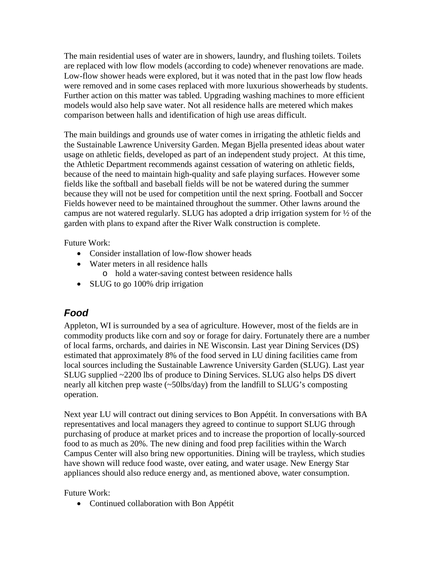The main residential uses of water are in showers, laundry, and flushing toilets. Toilets are replaced with low flow models (according to code) whenever renovations are made. Low-flow shower heads were explored, but it was noted that in the past low flow heads were removed and in some cases replaced with more luxurious showerheads by students. Further action on this matter was tabled. Upgrading washing machines to more efficient models would also help save water. Not all residence halls are metered which makes comparison between halls and identification of high use areas difficult.

The main buildings and grounds use of water comes in irrigating the athletic fields and the Sustainable Lawrence University Garden. Megan Bjella presented ideas about water usage on athletic fields, developed as part of an independent study project. At this time, the Athletic Department recommends against cessation of watering on athletic fields, because of the need to maintain high-quality and safe playing surfaces. However some fields like the softball and baseball fields will be not be watered during the summer because they will not be used for competition until the next spring. Football and Soccer Fields however need to be maintained throughout the summer. Other lawns around the campus are not watered regularly. SLUG has adopted a drip irrigation system for ½ of the garden with plans to expand after the River Walk construction is complete.

Future Work:

- Consider installation of low-flow shower heads
- Water meters in all residence halls o hold a water-saving contest between residence halls
- SLUG to go 100% drip irrigation

# *Food*

Appleton, WI is surrounded by a sea of agriculture. However, most of the fields are in commodity products like corn and soy or forage for dairy. Fortunately there are a number of local farms, orchards, and dairies in NE Wisconsin. Last year Dining Services (DS) estimated that approximately 8% of the food served in LU dining facilities came from local sources including the Sustainable Lawrence University Garden (SLUG). Last year SLUG supplied ~2200 lbs of produce to Dining Services. SLUG also helps DS divert nearly all kitchen prep waste (~50lbs/day) from the landfill to SLUG's composting operation.

Next year LU will contract out dining services to Bon Appétit. In conversations with BA representatives and local managers they agreed to continue to support SLUG through purchasing of produce at market prices and to increase the proportion of locally-sourced food to as much as 20%. The new dining and food prep facilities within the Warch Campus Center will also bring new opportunities. Dining will be trayless, which studies have shown will reduce food waste, over eating, and water usage. New Energy Star appliances should also reduce energy and, as mentioned above, water consumption.

Future Work:

• Continued collaboration with Bon Appétit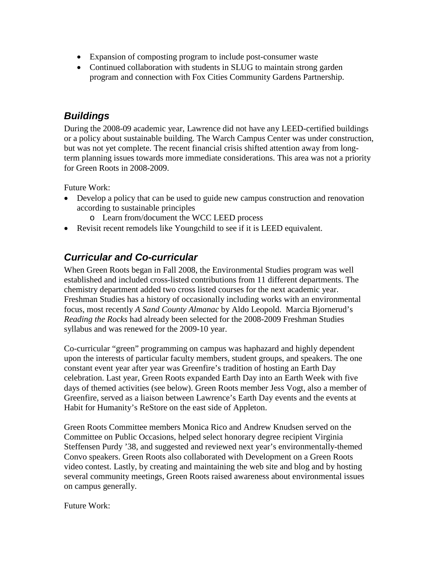- Expansion of composting program to include post-consumer waste
- Continued collaboration with students in SLUG to maintain strong garden program and connection with Fox Cities Community Gardens Partnership.

## *Buildings*

During the 2008-09 academic year, Lawrence did not have any LEED-certified buildings or a policy about sustainable building. The Warch Campus Center was under construction, but was not yet complete. The recent financial crisis shifted attention away from longterm planning issues towards more immediate considerations. This area was not a priority for Green Roots in 2008-2009.

Future Work:

- Develop a policy that can be used to guide new campus construction and renovation according to sustainable principles
	- o Learn from/document the WCC LEED process
- Revisit recent remodels like Youngchild to see if it is LEED equivalent.

# *Curricular and Co-curricular*

When Green Roots began in Fall 2008, the Environmental Studies program was well established and included cross-listed contributions from 11 different departments. The chemistry department added two cross listed courses for the next academic year. Freshman Studies has a history of occasionally including works with an environmental focus, most recently *A Sand County Almanac* by Aldo Leopold. Marcia Bjornerud's *Reading the Rocks* had already been selected for the 2008-2009 Freshman Studies syllabus and was renewed for the 2009-10 year.

Co-curricular "green" programming on campus was haphazard and highly dependent upon the interests of particular faculty members, student groups, and speakers. The one constant event year after year was Greenfire's tradition of hosting an Earth Day celebration. Last year, Green Roots expanded Earth Day into an Earth Week with five days of themed activities (see below). Green Roots member Jess Vogt, also a member of Greenfire, served as a liaison between Lawrence's Earth Day events and the events at Habit for Humanity's ReStore on the east side of Appleton.

Green Roots Committee members Monica Rico and Andrew Knudsen served on the Committee on Public Occasions, helped select honorary degree recipient Virginia Steffensen Purdy '38, and suggested and reviewed next year's environmentally-themed Convo speakers. Green Roots also collaborated with Development on a Green Roots video contest. Lastly, by creating and maintaining the web site and blog and by hosting several community meetings, Green Roots raised awareness about environmental issues on campus generally.

Future Work: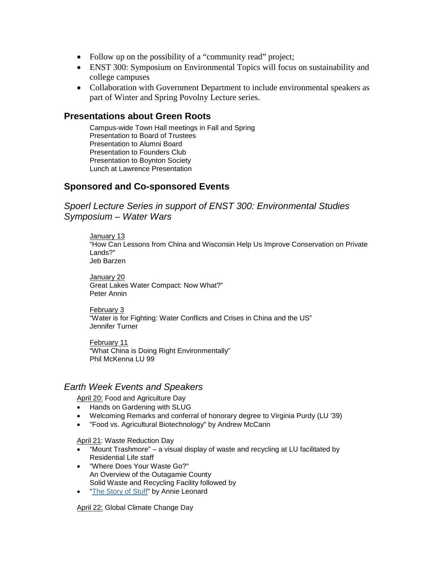- Follow up on the possibility of a "community read" project;
- ENST 300: Symposium on Environmental Topics will focus on sustainability and college campuses
- Collaboration with Government Department to include environmental speakers as part of Winter and Spring Povolny Lecture series.

### **Presentations about Green Roots**

Campus-wide Town Hall meetings in Fall and Spring Presentation to Board of Trustees Presentation to Alumni Board Presentation to Founders Club Presentation to Boynton Society Lunch at Lawrence Presentation

### **Sponsored and Co-sponsored Events**

*Spoerl Lecture Series in support of ENST 300: Environmental Studies Symposium – Water Wars*

January 13 "How Can Lessons from China and Wisconsin Help Us Improve Conservation on Private Lands?" Jeb Barzen

January 20 Great Lakes Water Compact: Now What?" Peter Annin

February 3 "Water is for Fighting: Water Conflicts and Crises in China and the US" Jennifer Turner

February 11 "What China is Doing Right Environmentally" Phil McKenna LU 99

### *Earth Week Events and Speakers*

April 20: Food and Agriculture Day

- Hands on Gardening with SLUG
- Welcoming Remarks and conferral of honorary degree to Virginia Purdy (LU '39)
- "Food vs. Agricultural Biotechnology" by Andrew McCann

April 21: Waste Reduction Day

- "Mount Trashmore" a visual display of waste and recycling at LU facilitated by Residential Life staff
- "Where Does Your Waste Go?" An Overview of the Outagamie County Solid Waste and Recycling Facility followed by
- ["The Story of Stuff"](http://www.storyofstuff.com/) by Annie Leonard

April 22: Global Climate Change Day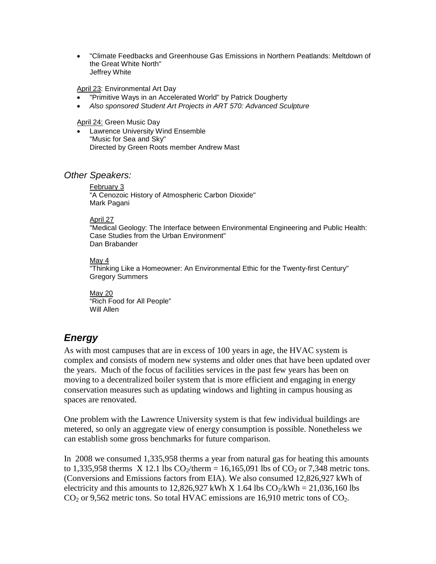• "Climate Feedbacks and Greenhouse Gas Emissions in Northern Peatlands: Meltdown of the Great White North" Jeffrey White

April 23: Environmental Art Day

- "Primitive Ways in an Accelerated World" by Patrick Dougherty
- *Also sponsored Student Art Projects in ART 570: Advanced Sculpture*

April 24: Green Music Day

• Lawrence University Wind Ensemble "Music for Sea and Sky" Directed by Green Roots member Andrew Mast

### *Other Speakers:*

February 3 "A Cenozoic History of Atmospheric Carbon Dioxide" Mark Pagani

#### April 27

"Medical Geology: The Interface between Environmental Engineering and Public Health: Case Studies from the Urban Environment" Dan Brabander

#### May 4

"Thinking Like a Homeowner: An Environmental Ethic for the Twenty-first Century" Gregory Summers

May 20 "Rich Food for All People" Will Allen

## *Energy*

As with most campuses that are in excess of 100 years in age, the HVAC system is complex and consists of modern new systems and older ones that have been updated over the years. Much of the focus of facilities services in the past few years has been on moving to a decentralized boiler system that is more efficient and engaging in energy conservation measures such as updating windows and lighting in campus housing as spaces are renovated.

One problem with the Lawrence University system is that few individual buildings are metered, so only an aggregate view of energy consumption is possible. Nonetheless we can establish some gross benchmarks for future comparison.

In 2008 we consumed 1,335,958 therms a year from natural gas for heating this amounts to 1,335,958 therms X 12.1 lbs  $CO_2$ /therm = 16,165,091 lbs of  $CO_2$  or 7,348 metric tons. (Conversions and Emissions factors from EIA). We also consumed 12,826,927 kWh of electricity and this amounts to 12,826,927 kWh X 1.64 lbs  $CO_2/kWh = 21,036,160$  lbs  $CO<sub>2</sub>$  or 9,562 metric tons. So total HVAC emissions are 16,910 metric tons of  $CO<sub>2</sub>$ .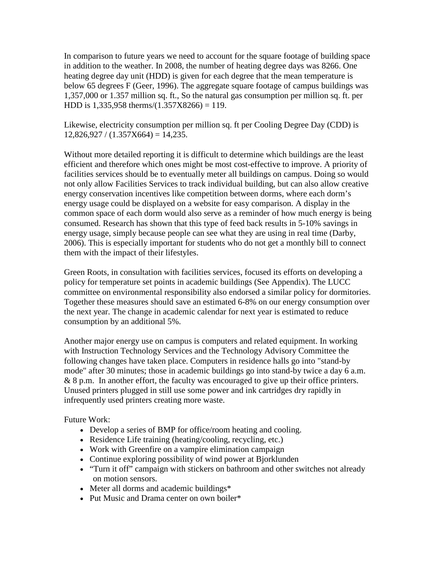In comparison to future years we need to account for the square footage of building space in addition to the weather. In 2008, the number of heating degree days was 8266. One heating degree day unit (HDD) is given for each degree that the mean temperature is below 65 degrees F (Geer, 1996). The aggregate square footage of campus buildings was 1,357,000 or 1.357 million sq. ft., So the natural gas consumption per million sq. ft. per HDD is  $1,335,958$  therms/ $(1.357X8266) = 119$ .

Likewise, electricity consumption per million sq. ft per Cooling Degree Day (CDD) is  $12,826,927 / (1.357X664) = 14,235.$ 

Without more detailed reporting it is difficult to determine which buildings are the least efficient and therefore which ones might be most cost-effective to improve. A priority of facilities services should be to eventually meter all buildings on campus. Doing so would not only allow Facilities Services to track individual building, but can also allow creative energy conservation incentives like competition between dorms, where each dorm's energy usage could be displayed on a website for easy comparison. A display in the common space of each dorm would also serve as a reminder of how much energy is being consumed. Research has shown that this type of feed back results in 5-10% savings in energy usage, simply because people can see what they are using in real time (Darby, 2006). This is especially important for students who do not get a monthly bill to connect them with the impact of their lifestyles.

Green Roots, in consultation with facilities services, focused its efforts on developing a policy for temperature set points in academic buildings (See Appendix). The LUCC committee on environmental responsibility also endorsed a similar policy for dormitories. Together these measures should save an estimated 6-8% on our energy consumption over the next year. The change in academic calendar for next year is estimated to reduce consumption by an additional 5%.

Another major energy use on campus is computers and related equipment. In working with Instruction Technology Services and the Technology Advisory Committee the following changes have taken place. Computers in residence halls go into "stand-by mode" after 30 minutes; those in academic buildings go into stand-by twice a day 6 a.m. & 8 p.m. In another effort, the faculty was encouraged to give up their office printers. Unused printers plugged in still use some power and ink cartridges dry rapidly in infrequently used printers creating more waste.

Future Work:

- Develop a series of BMP for office/room heating and cooling.
- Residence Life training (heating/cooling, recycling, etc.)
- Work with Greenfire on a vampire elimination campaign
- Continue exploring possibility of wind power at Bjorklunden
- "Turn it off" campaign with stickers on bathroom and other switches not already on motion sensors.
- Meter all dorms and academic buildings\*
- Put Music and Drama center on own boiler\*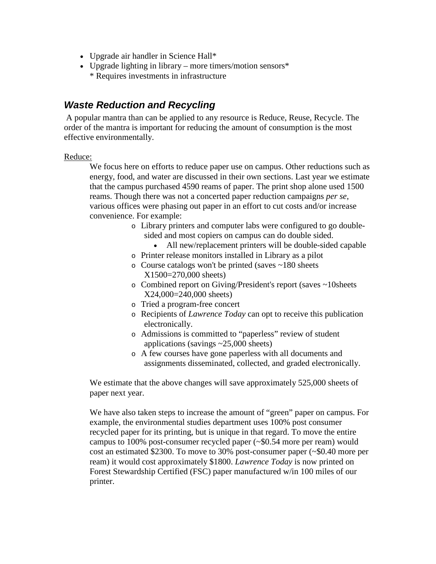- Upgrade air handler in Science Hall\*
- Upgrade lighting in library more timers/motion sensors\* \* Requires investments in infrastructure

## *Waste Reduction and Recycling*

A popular mantra than can be applied to any resource is Reduce, Reuse, Recycle. The order of the mantra is important for reducing the amount of consumption is the most effective environmentally.

#### Reduce:

We focus here on efforts to reduce paper use on campus. Other reductions such as energy, food, and water are discussed in their own sections. Last year we estimate that the campus purchased 4590 reams of paper. The print shop alone used 1500 reams. Though there was not a concerted paper reduction campaigns *per se*, various offices were phasing out paper in an effort to cut costs and/or increase convenience. For example:

- o Library printers and computer labs were configured to go doublesided and most copiers on campus can do double sided.
	- All new/replacement printers will be double-sided capable
- o Printer release monitors installed in Library as a pilot
- o Course catalogs won't be printed (saves ~180 sheets X1500=270,000 sheets)
- o Combined report on Giving/President's report (saves ~10sheets X24,000=240,000 sheets)
- o Tried a program-free concert
- o Recipients of *Lawrence Today* can opt to receive this publication electronically.
- o Admissions is committed to "paperless" review of student applications (savings ~25,000 sheets)
- o A few courses have gone paperless with all documents and assignments disseminated, collected, and graded electronically.

We estimate that the above changes will save approximately 525,000 sheets of paper next year.

We have also taken steps to increase the amount of "green" paper on campus. For example, the environmental studies department uses 100% post consumer recycled paper for its printing, but is unique in that regard. To move the entire campus to 100% post-consumer recycled paper (~\$0.54 more per ream) would cost an estimated \$2300. To move to 30% post-consumer paper (~\$0.40 more per ream) it would cost approximately \$1800. *Lawrence Today* is now printed on Forest Stewardship Certified (FSC) paper manufactured w/in 100 miles of our printer.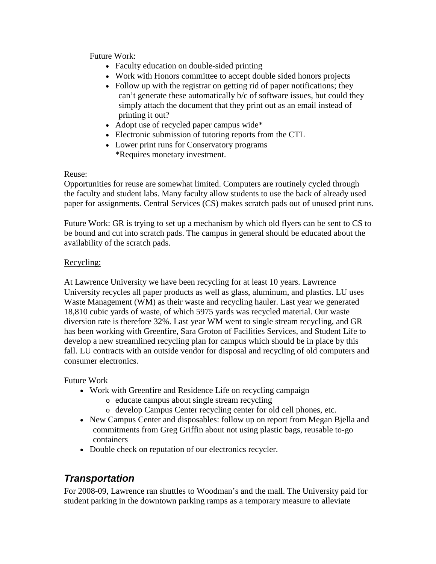Future Work:

- Faculty education on double-sided printing
- Work with Honors committee to accept double sided honors projects
- Follow up with the registrar on getting rid of paper notifications; they can't generate these automatically b/c of software issues, but could they simply attach the document that they print out as an email instead of printing it out?
- Adopt use of recycled paper campus wide\*
- Electronic submission of tutoring reports from the CTL
- Lower print runs for Conservatory programs \*Requires monetary investment.

### Reuse:

Opportunities for reuse are somewhat limited. Computers are routinely cycled through the faculty and student labs. Many faculty allow students to use the back of already used paper for assignments. Central Services (CS) makes scratch pads out of unused print runs.

Future Work: GR is trying to set up a mechanism by which old flyers can be sent to CS to be bound and cut into scratch pads. The campus in general should be educated about the availability of the scratch pads.

### Recycling:

At Lawrence University we have been recycling for at least 10 years. Lawrence University recycles all paper products as well as glass, aluminum, and plastics. LU uses Waste Management (WM) as their waste and recycling hauler. Last year we generated 18,810 cubic yards of waste, of which 5975 yards was recycled material. Our waste diversion rate is therefore 32%. Last year WM went to single stream recycling, and GR has been working with Greenfire, Sara Groton of Facilities Services, and Student Life to develop a new streamlined recycling plan for campus which should be in place by this fall. LU contracts with an outside vendor for disposal and recycling of old computers and consumer electronics.

### Future Work

- Work with Greenfire and Residence Life on recycling campaign
	- o educate campus about single stream recycling
	- o develop Campus Center recycling center for old cell phones, etc.
- New Campus Center and disposables: follow up on report from Megan Bjella and commitments from Greg Griffin about not using plastic bags, reusable to-go containers
- Double check on reputation of our electronics recycler.

# *Transportation*

For 2008-09, Lawrence ran shuttles to Woodman's and the mall. The University paid for student parking in the downtown parking ramps as a temporary measure to alleviate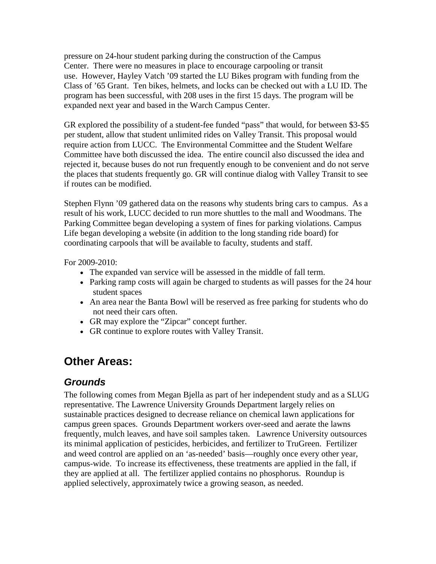pressure on 24-hour student parking during the construction of the Campus Center. There were no measures in place to encourage carpooling or transit use. However, Hayley Vatch '09 started the LU Bikes program with funding from the Class of '65 Grant. Ten bikes, helmets, and locks can be checked out with a LU ID. The program has been successful, with 208 uses in the first 15 days. The program will be expanded next year and based in the Warch Campus Center.

GR explored the possibility of a student-fee funded "pass" that would, for between \$3-\$5 per student, allow that student unlimited rides on Valley Transit. This proposal would require action from LUCC. The Environmental Committee and the Student Welfare Committee have both discussed the idea. The entire council also discussed the idea and rejected it, because buses do not run frequently enough to be convenient and do not serve the places that students frequently go. GR will continue dialog with Valley Transit to see if routes can be modified.

Stephen Flynn '09 gathered data on the reasons why students bring cars to campus. As a result of his work, LUCC decided to run more shuttles to the mall and Woodmans. The Parking Committee began developing a system of fines for parking violations. Campus Life began developing a website (in addition to the long standing ride board) for coordinating carpools that will be available to faculty, students and staff.

For 2009-2010:

- The expanded van service will be assessed in the middle of fall term.
- Parking ramp costs will again be charged to students as will passes for the 24 hour student spaces
- An area near the Banta Bowl will be reserved as free parking for students who do not need their cars often.
- GR may explore the "Zipcar" concept further.
- GR continue to explore routes with Valley Transit.

# **Other Areas:**

## *Grounds*

The following comes from Megan Bjella as part of her independent study and as a SLUG representative. The Lawrence University Grounds Department largely relies on sustainable practices designed to decrease reliance on chemical lawn applications for campus green spaces. Grounds Department workers over-seed and aerate the lawns frequently, mulch leaves, and have soil samples taken. Lawrence University outsources its minimal application of pesticides, herbicides, and fertilizer to TruGreen. Fertilizer and weed control are applied on an 'as-needed' basis—roughly once every other year, campus-wide. To increase its effectiveness, these treatments are applied in the fall, if they are applied at all. The fertilizer applied contains no phosphorus. Roundup is applied selectively, approximately twice a growing season, as needed.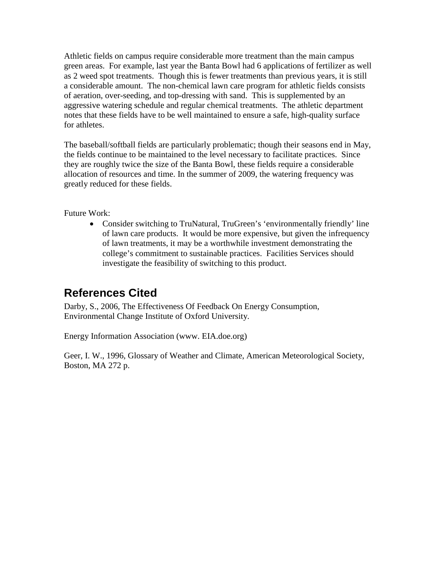Athletic fields on campus require considerable more treatment than the main campus green areas. For example, last year the Banta Bowl had 6 applications of fertilizer as well as 2 weed spot treatments. Though this is fewer treatments than previous years, it is still a considerable amount. The non-chemical lawn care program for athletic fields consists of aeration, over-seeding, and top-dressing with sand. This is supplemented by an aggressive watering schedule and regular chemical treatments. The athletic department notes that these fields have to be well maintained to ensure a safe, high-quality surface for athletes.

The baseball/softball fields are particularly problematic; though their seasons end in May, the fields continue to be maintained to the level necessary to facilitate practices. Since they are roughly twice the size of the Banta Bowl, these fields require a considerable allocation of resources and time. In the summer of 2009, the watering frequency was greatly reduced for these fields.

Future Work:

• Consider switching to TruNatural, TruGreen's 'environmentally friendly' line of lawn care products. It would be more expensive, but given the infrequency of lawn treatments, it may be a worthwhile investment demonstrating the college's commitment to sustainable practices. Facilities Services should investigate the feasibility of switching to this product.

# **References Cited**

Darby, S., 2006, The Effectiveness Of Feedback On Energy Consumption, Environmental Change Institute of Oxford University.

Energy Information Association (www. EIA.doe.org)

Geer, I. W., 1996, Glossary of Weather and Climate, American Meteorological Society, Boston, MA 272 p.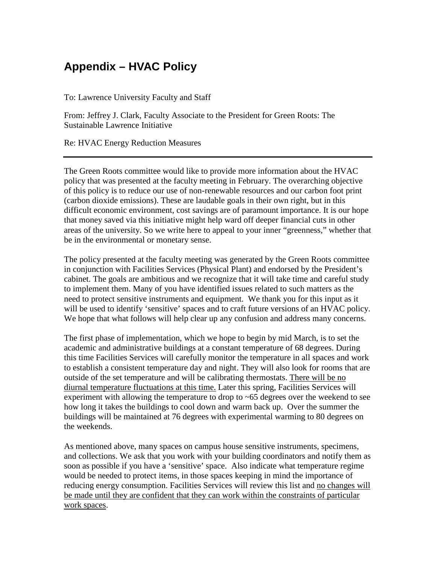# **Appendix – HVAC Policy**

To: Lawrence University Faculty and Staff

From: Jeffrey J. Clark, Faculty Associate to the President for Green Roots: The Sustainable Lawrence Initiative

Re: HVAC Energy Reduction Measures

The Green Roots committee would like to provide more information about the HVAC policy that was presented at the faculty meeting in February. The overarching objective of this policy is to reduce our use of non-renewable resources and our carbon foot print (carbon dioxide emissions). These are laudable goals in their own right, but in this difficult economic environment, cost savings are of paramount importance. It is our hope that money saved via this initiative might help ward off deeper financial cuts in other areas of the university. So we write here to appeal to your inner "greenness," whether that be in the environmental or monetary sense.

The policy presented at the faculty meeting was generated by the Green Roots committee in conjunction with Facilities Services (Physical Plant) and endorsed by the President's cabinet. The goals are ambitious and we recognize that it will take time and careful study to implement them. Many of you have identified issues related to such matters as the need to protect sensitive instruments and equipment. We thank you for this input as it will be used to identify 'sensitive' spaces and to craft future versions of an HVAC policy. We hope that what follows will help clear up any confusion and address many concerns.

The first phase of implementation, which we hope to begin by mid March, is to set the academic and administrative buildings at a constant temperature of 68 degrees. During this time Facilities Services will carefully monitor the temperature in all spaces and work to establish a consistent temperature day and night. They will also look for rooms that are outside of the set temperature and will be calibrating thermostats. There will be no diurnal temperature fluctuations at this time. Later this spring, Facilities Services will experiment with allowing the temperature to drop to ~65 degrees over the weekend to see how long it takes the buildings to cool down and warm back up. Over the summer the buildings will be maintained at 76 degrees with experimental warming to 80 degrees on the weekends.

As mentioned above, many spaces on campus house sensitive instruments, specimens, and collections. We ask that you work with your building coordinators and notify them as soon as possible if you have a 'sensitive' space. Also indicate what temperature regime would be needed to protect items, in those spaces keeping in mind the importance of reducing energy consumption. Facilities Services will review this list and no changes will be made until they are confident that they can work within the constraints of particular work spaces.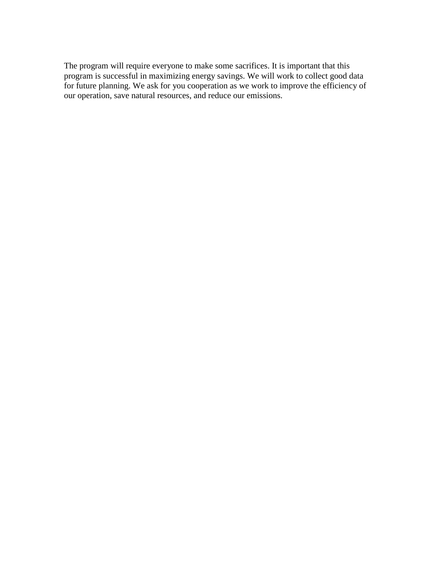The program will require everyone to make some sacrifices. It is important that this program is successful in maximizing energy savings. We will work to collect good data for future planning. We ask for you cooperation as we work to improve the efficiency of our operation, save natural resources, and reduce our emissions.